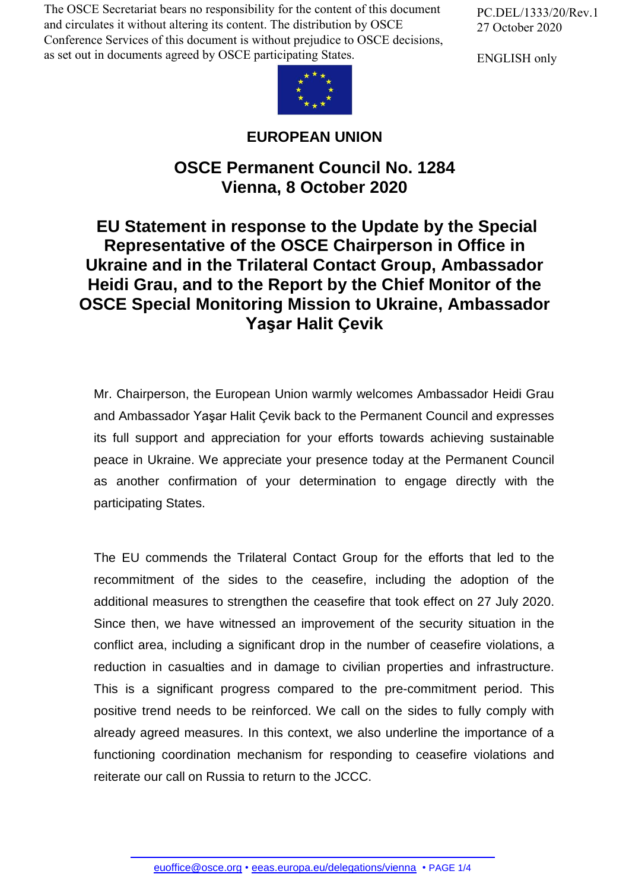The OSCE Secretariat bears no responsibility for the content of this document and circulates it without altering its content. The distribution by OSCE Conference Services of this document is without prejudice to OSCE decisions, as set out in documents agreed by OSCE participating States.

PC.DEL/1333/20/Rev.1 27 October 2020

ENGLISH only



## **EUROPEAN UNION**

## **OSCE Permanent Council No. 1284 Vienna, 8 October 2020**

## **EU Statement in response to the Update by the Special Representative of the OSCE Chairperson in Office in Ukraine and in the Trilateral Contact Group, Ambassador Heidi Grau, and to the Report by the Chief Monitor of the OSCE Special Monitoring Mission to Ukraine, Ambassador Yaşar Halit Çevik**

Mr. Chairperson, the European Union warmly welcomes Ambassador Heidi Grau and Ambassador Yaşar Halit Çevik back to the Permanent Council and expresses its full support and appreciation for your efforts towards achieving sustainable peace in Ukraine. We appreciate your presence today at the Permanent Council as another confirmation of your determination to engage directly with the participating States.

The EU commends the Trilateral Contact Group for the efforts that led to the recommitment of the sides to the ceasefire, including the adoption of the additional measures to strengthen the ceasefire that took effect on 27 July 2020. Since then, we have witnessed an improvement of the security situation in the conflict area, including a significant drop in the number of ceasefire violations, a reduction in casualties and in damage to civilian properties and infrastructure. This is a significant progress compared to the pre-commitment period. This positive trend needs to be reinforced. We call on the sides to fully comply with already agreed measures. In this context, we also underline the importance of a functioning coordination mechanism for responding to ceasefire violations and reiterate our call on Russia to return to the JCCC.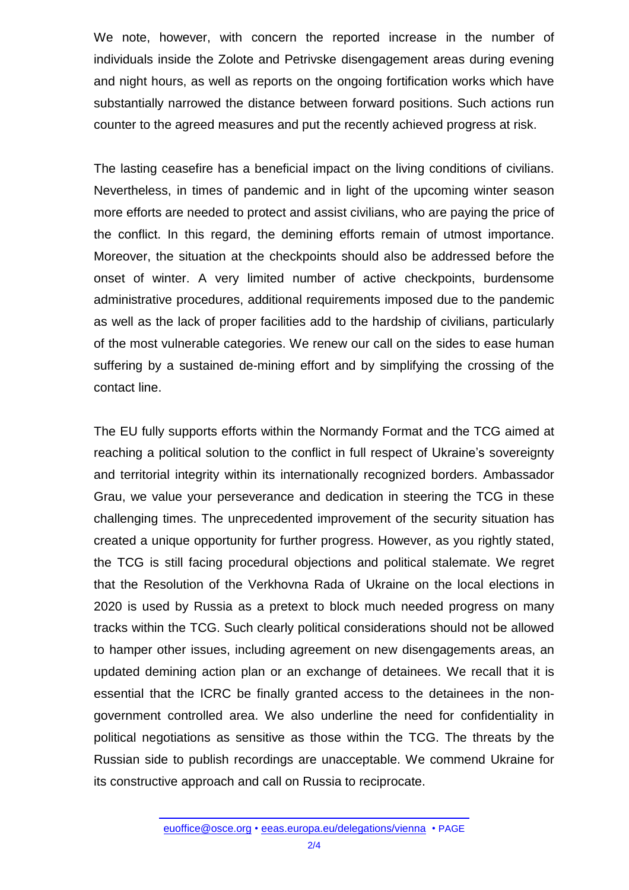We note, however, with concern the reported increase in the number of individuals inside the Zolote and Petrivske disengagement areas during evening and night hours, as well as reports on the ongoing fortification works which have substantially narrowed the distance between forward positions. Such actions run counter to the agreed measures and put the recently achieved progress at risk.

The lasting ceasefire has a beneficial impact on the living conditions of civilians. Nevertheless, in times of pandemic and in light of the upcoming winter season more efforts are needed to protect and assist civilians, who are paying the price of the conflict. In this regard, the demining efforts remain of utmost importance. Moreover, the situation at the checkpoints should also be addressed before the onset of winter. A very limited number of active checkpoints, burdensome administrative procedures, additional requirements imposed due to the pandemic as well as the lack of proper facilities add to the hardship of civilians, particularly of the most vulnerable categories. We renew our call on the sides to ease human suffering by a sustained de-mining effort and by simplifying the crossing of the contact line.

The EU fully supports efforts within the Normandy Format and the TCG aimed at reaching a political solution to the conflict in full respect of Ukraine's sovereignty and territorial integrity within its internationally recognized borders. Ambassador Grau, we value your perseverance and dedication in steering the TCG in these challenging times. The unprecedented improvement of the security situation has created a unique opportunity for further progress. However, as you rightly stated, the TCG is still facing procedural objections and political stalemate. We regret that the Resolution of the Verkhovna Rada of Ukraine on the local elections in 2020 is used by Russia as a pretext to block much needed progress on many tracks within the TCG. Such clearly political considerations should not be allowed to hamper other issues, including agreement on new disengagements areas, an updated demining action plan or an exchange of detainees. We recall that it is essential that the ICRC be finally granted access to the detainees in the nongovernment controlled area. We also underline the need for confidentiality in political negotiations as sensitive as those within the TCG. The threats by the Russian side to publish recordings are unacceptable. We commend Ukraine for its constructive approach and call on Russia to reciprocate.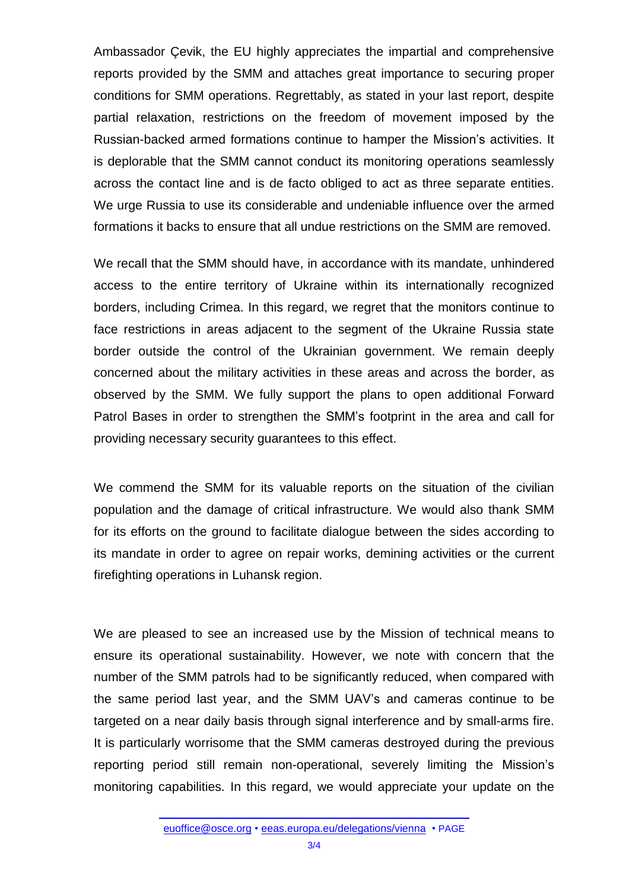Ambassador Çevik, the EU highly appreciates the impartial and comprehensive reports provided by the SMM and attaches great importance to securing proper conditions for SMM operations. Regrettably, as stated in your last report, despite partial relaxation, restrictions on the freedom of movement imposed by the Russian-backed armed formations continue to hamper the Mission's activities. It is deplorable that the SMM cannot conduct its monitoring operations seamlessly across the contact line and is de facto obliged to act as three separate entities. We urge Russia to use its considerable and undeniable influence over the armed formations it backs to ensure that all undue restrictions on the SMM are removed.

We recall that the SMM should have, in accordance with its mandate, unhindered access to the entire territory of Ukraine within its internationally recognized borders, including Crimea. In this regard, we regret that the monitors continue to face restrictions in areas adjacent to the segment of the Ukraine Russia state border outside the control of the Ukrainian government. We remain deeply concerned about the military activities in these areas and across the border, as observed by the SMM. We fully support the plans to open additional Forward Patrol Bases in order to strengthen the SMM's footprint in the area and call for providing necessary security guarantees to this effect.

We commend the SMM for its valuable reports on the situation of the civilian population and the damage of critical infrastructure. We would also thank SMM for its efforts on the ground to facilitate dialogue between the sides according to its mandate in order to agree on repair works, demining activities or the current firefighting operations in Luhansk region.

We are pleased to see an increased use by the Mission of technical means to ensure its operational sustainability. However, we note with concern that the number of the SMM patrols had to be significantly reduced, when compared with the same period last year, and the SMM UAV's and cameras continue to be targeted on a near daily basis through signal interference and by small-arms fire. It is particularly worrisome that the SMM cameras destroyed during the previous reporting period still remain non-operational, severely limiting the Mission's monitoring capabilities. In this regard, we would appreciate your update on the